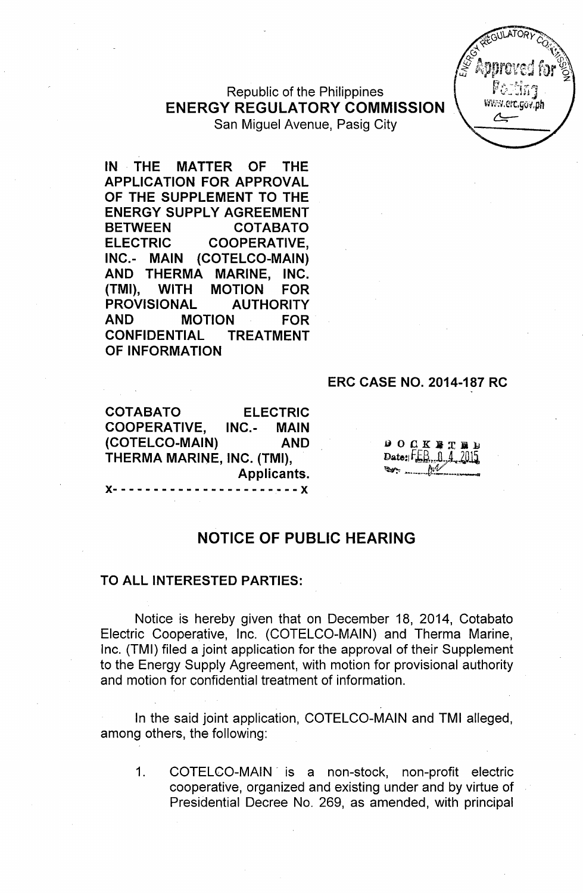Republic of the Philippines ENERGY REGULATORY COMMISSION San Miguel Avenue, Pasig City

IN THE MATTER OF THE APPLICATION FOR APPROVAL OF THE SUPPLEMENT TO THE ENERGY SUPPLY AGREEMENT BETWEEN COTABATO ELECTRIC COOPERATIVE, INC.- MAIN (COTELCO-MAIN) AND THERMA MARINE, INC. (TMI), WITH MOTION FOR PROVISIONAL AUTHORITY AND MOTION FOR CONFIDENTIAL TREATMENT OF INFORMATION

#### ERC CASE NO. 2014-187 RC

COTABATO ELECTRIC COOPERATIVE, INC.- MAIN (COTELCO-MAIN) AND THERMA MARINE, INC. (TMI), Applicants. )(- - - - - - - - - - - - - - - - - - - - - - - )(

 $0 0 0 0 0 0$ Date:  $FEB \cap 4$  2015

WWW.erc.cov.oh

# NOTICE OF PUBLIC HEARING

#### TO ALL INTERESTED PARTIES:

Notice is hereby given that on December 18, 2014, Cotabato Electric Cooperative, Inc. (COTELCO-MAIN) and Therma Marine, Inc. (TMI) filed a joint application for the approval of their Supplement to the Energy Supply Agreement, with motion for provisional authority and motion for confidential treatment of information.

In the said joint application, COTELCO-MAIN and TMI alleged, among others, the following:

1. COTELCO-MAIN "is a non-stock, non-profit electric cooperative, organized and existing under and by virtue of Presidential Decree No. 269, as amended, with principal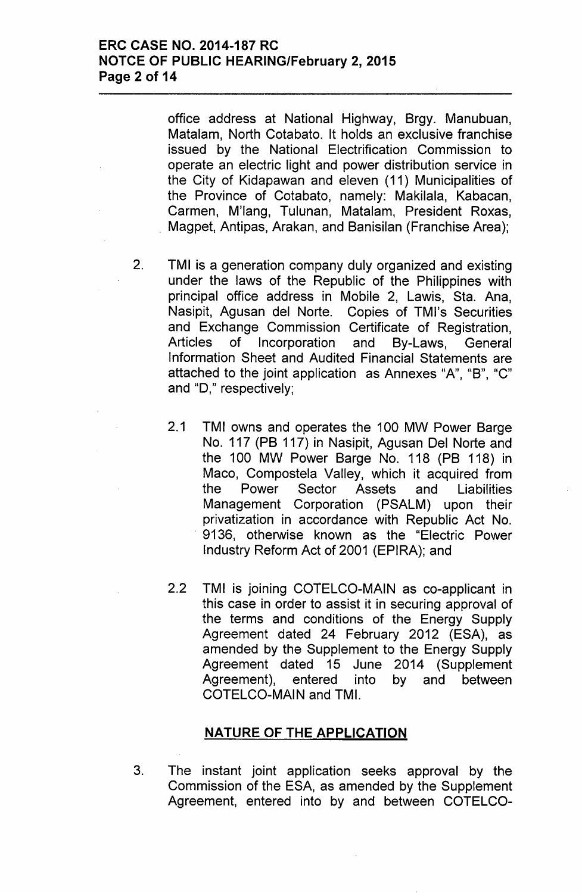# **ERC CASE NO. 2014-187 RC NOTCE OF PUBLIC HEARING/February 2, 2015 Page 2 of 14**

office address at National Highway, Brgy. Manubuan, Matalam, North Cotabato. It holds an exclusive franchise issued by the National Electrification Commission to operate an electric light and power distribution service in the City of Kidapawan and eleven (11) Municipalities of the Province of Cotabato, namely: Makilala, Kabacan, Carmen, M'lang, Tulunan, Matalam, President Roxas, . Magpet, Antipas, Arakan, and Banisilan (Franchise Area);

- 2. TMI is a generation company duly organized and existing under the laws of the Republic of the Philippines with principal office address in Mobile 2, Lawis, Sta. Ana, Nasipit, Agusan del Norte. Copies of TMl's Securities and Exchange Commission Certificate of Registration, Articles of Incorporation and By-Laws, General Information Sheet and Audited Financial Statements are attached to the joint application as Annexes "A", "B", "C" and "D," respectively;
	- 2.1 TMI owns and operates the 100 MW Power Barge No. 117 (PB 117) in Nasipit, Agusan Del Norte and the 100 MW Power Barge No. 118 (PB 118) in Maco, Compostela Valley, which it acquired from the Power Sector Assets and Liabilities Management Corporation (PSALM) upon their privatization in accordance with Republic Act No. . 9136, otherwise known as the "Electric Power Industry Reform Act of 2001 (EPIRA); and
	- 2.2 TMI is joining COTELCO-MAIN as co-applicant in this case in order to assist it in securing approval of the terms and conditions of the Energy Supply Agreement dated 24 February 2012 (ESA), as amended by the Supplement to the Energy Supply Agreement dated 15 June 2014 (Supplement Agreement), entered into by and between COTELCO-MAIN and TM!.

### **NATURE OF THE APPLICATION**

3. The instant joint application seeks approval by the Commission of the ESA, as amended by the Supplement Agreement, entered into by and between COTELCO-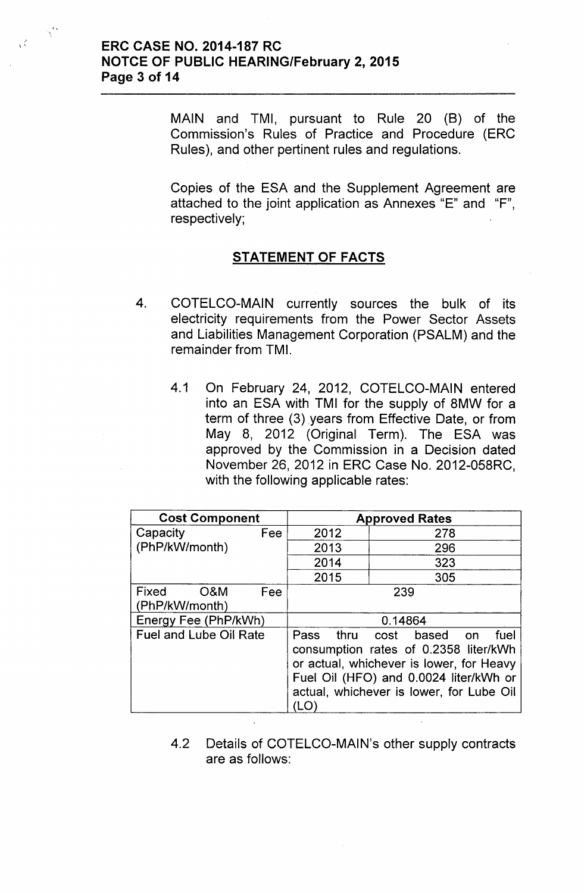$\frac{3}{3}$ 

 $\gamma^{\star\star}$ 

MAIN and TMI, pursuant to Rule 20 (B) of the Commission's Rules of Practice and Procedure (ERC Rules), and other pertinent rules and regulations.

Copies of the ESA and the Supplement Agreement are attached to the joint application as Annexes "E" and "F", respectively;

# STATEMENT OF FACTS

- 4. COTELCO-MAIN currently sources the bulk of its electricity requirements from the Power Sector Assets and Liabilities Management Corporation (PSALM) and the remainder from TMI.
	- 4.1 On February 24, 2012, COTELCO-MAIN entered into an ESA with TMI for the supply of 8MW for a term of three (3) years from Effective Date, or from May 8, 2012 (Original Term). The ESA was approved by the Commission in a Decision dated November 26,2012 in ERC Case No. 2012-058RC, with the following applicable rates:

| <b>Cost Component</b>          |     | <b>Approved Rates</b>                                                                                                                                                                                            |     |  |  |
|--------------------------------|-----|------------------------------------------------------------------------------------------------------------------------------------------------------------------------------------------------------------------|-----|--|--|
| Capacity<br>Fee                |     | 2012                                                                                                                                                                                                             | 278 |  |  |
| (PhP/kW/month)                 |     | 2013                                                                                                                                                                                                             | 296 |  |  |
|                                |     | 2014                                                                                                                                                                                                             | 323 |  |  |
|                                |     | 2015                                                                                                                                                                                                             | 305 |  |  |
| Fixed<br>O&M<br>(PhP/kW/month) | Fee | 239                                                                                                                                                                                                              |     |  |  |
| Energy Fee (PhP/kWh)           |     | 0.14864                                                                                                                                                                                                          |     |  |  |
| <b>Fuel and Lube Oil Rate</b>  |     | Pass thru cost based on<br>fuel<br>consumption rates of 0.2358 liter/kWh<br>or actual, whichever is lower, for Heavy<br>Fuel Oil (HFO) and 0.0024 liter/kWh or<br>actual, whichever is lower, for Lube Oil<br>LO |     |  |  |

4.2 Details of COTELCO-MAIN's other supply contracts are as follows: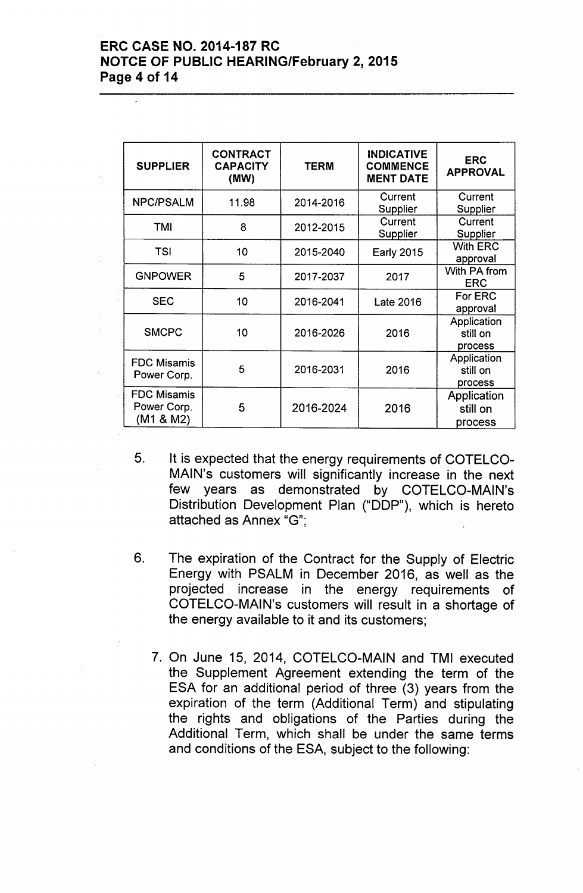# ERC CASE NO. 2014-187 RC NOTCE OF PUBLIC HEARING/February 2, 2015 Page 4 of 14

| <b>SUPPLIER</b>                                | <b>CONTRACT</b><br><b>CAPACITY</b><br>(MW) | <b>TERM</b> | <b>INDICATIVE</b><br><b>COMMENCE</b><br><b>MENT DATE</b> | <b>ERC</b><br><b>APPROVAL</b>      |
|------------------------------------------------|--------------------------------------------|-------------|----------------------------------------------------------|------------------------------------|
| <b>NPC/PSALM</b>                               | 11.98                                      | 2014-2016   | Current<br>Supplier                                      | Current<br>Supplier                |
| <b>TMI</b>                                     | 8                                          | 2012-2015   | Current<br>Supplier                                      | Current<br>Supplier                |
| <b>TSI</b>                                     | 10                                         | 2015-2040   | <b>Early 2015</b>                                        | <b>With ERC</b><br>approval        |
| <b>GNPOWER</b>                                 | 5                                          | 2017-2037   | 2017                                                     | With PA from<br><b>ERC</b>         |
| <b>SEC</b>                                     | 10                                         | 2016-2041   | <b>Late 2016</b>                                         | For ERC<br>approval                |
| <b>SMCPC</b>                                   | 10                                         | 2016-2026   | 2016                                                     | Application<br>still on<br>process |
| <b>FDC Misamis</b><br>Power Corp.              | 5                                          | 2016-2031   | 2016                                                     | Application<br>still on<br>process |
| <b>FDC Misamis</b><br>Power Corp.<br>(M1 & M2) | 5                                          | 2016-2024   | 2016                                                     | Application<br>still on<br>process |

- 5. It is expected that the energy requirements of COTELCO-MAIN's customers will significantly increase in the next few years as demonstrated by COTELCO-MAIN's Distribution Development Plan ("DDP"), which is hereto attached as Annex "G":
- 6. The expiration of the Contract for the Supply of Electric Energy with PSALM in December 2016, as well as the projected increase in the energy requirements of COTELCO-MAIN's customers will result in a shortage of the energy available to it and its customers;
	- 7. On June 15, 2014, COTELCO-MAIN and TMI executed the Supplement Agreement extending the term of the ESA for an additional period of three (3) years from the expiration of the term (Additional Term) and stipulating the rights and obligations of the Parties during the Additional Term, which shall be under the same terms and conditions of the ESA, subject to the following: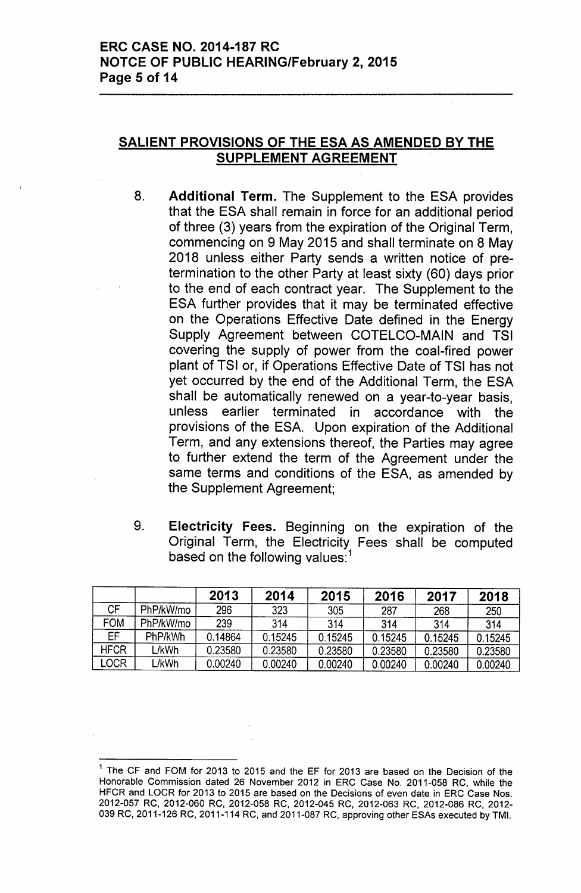# SALIENT PROVISIONS OF THE ESA AS AMENDED BY THE SUPPLEMENT AGREEMENT

- 8. Additional Term. The Supplement to the ESA provides that the ESA shall remain in force for an additional period of three (3) years from the expiration of the Original Term, commencing on 9 May 2015 and shall terminate on 8 May 2018 unless either Party sends a written notice of pretermination to the other Party at least sixty (60) days prior to the end of each contract year. The Supplement to the ESA further provides that it may be terminated effective on the Operations Effective Date defined in the Energy Supply Agreement between COTELCO-MAIN and TSI covering the supply of power from the coal-fired power plant of TSI or, if Operations Effective Date of TSI has not yet occurred by the end of the Additional Term, the ESA shall be automatically renewed on a year-to-year basis, unless earlier terminated in accordance with the provisions of the ESA. Upon expiration of the Additional Term, and any extensions thereof, the Parties may agree to further extend the term of the Agreement under the same terms and conditions of the ESA, as amended by the Supplement Agreement;
- 9. Electricity Fees. Beginning on the expiration of the Original Term, the Electricity Fees shall be computed based on the following values:<sup>1</sup>

|             |           | 2013    | 2014    | 2015    | 2016    | 2017    | 2018    |
|-------------|-----------|---------|---------|---------|---------|---------|---------|
| CF          | PhP/kW/mo | 296     | 323     | 305     | 287     | 268     | 250     |
| FOM         | PhP/kW/mo | 239     | 314     | 314     | 314     | 314     | 314     |
| EF          | PhP/kWh   | 0.14864 | 0.15245 | 0.15245 | 0.15245 | 0.15245 | 0.15245 |
| <b>HFCR</b> | L/kWh     | 0.23580 | 0.23580 | 0.23580 | 0.23580 | 0.23580 | 0.23580 |
| LOCR        | L/kWh     | 0.00240 | 0.00240 | 0.00240 | 0.00240 | 0.00240 | 0.00240 |

<sup>&</sup>lt;sup>1</sup> The CF and FOM for 2013 to 2015 and the EF for 2013 are based on the Decision of the Honorable Commission dated 26 November 2012 in ERC Case No. 2011-058 RC, while the HFCR and LOCR for 2013 to 2015 are based on the Decisions of even date in ERC Case Nos. 2012-057 RC, 2012-060 RC, 2012-058 RC, 2012-045 RC, 2012-063 RC, 2012-086 RC, 2012- 039 RC, 2011-126 RC, 2011-114 RC, and 2011-087 RC, approving other ESAs executed by TMI.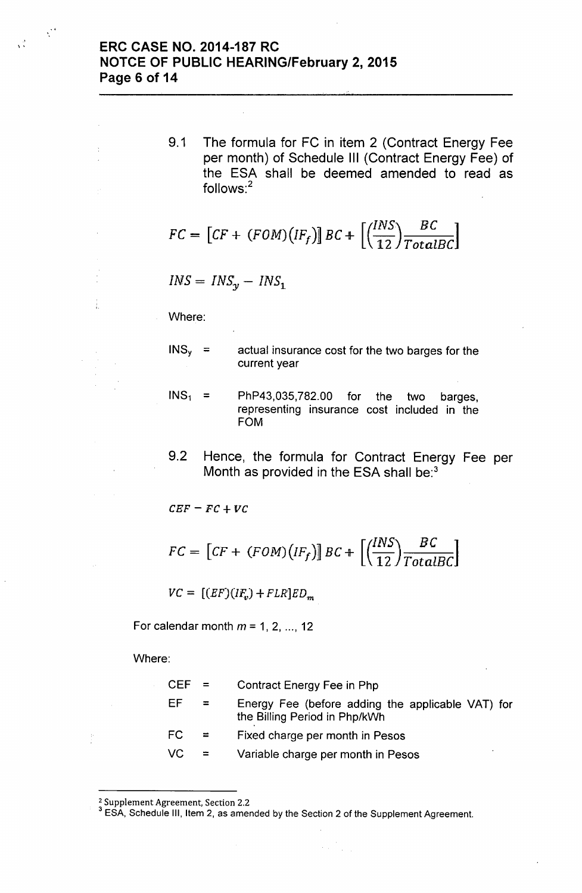# $\mathbb{R}^2$  ERC CASE NO. 2014-187 RC NOTCE OF PUBLIC HEARING/February 2, 2015 Page 6 of 14

9.1 The formula for FC in item 2 (Contract Energy Fee per month) of Schedule III (Contract Energy Fee) of the ESA shall be deemed amended to read as follows:<sup>2</sup>

~--- -

$$
FC = \left[ CF + (FOM)(IF_f) \right] BC + \left[ \left( \frac{INS}{12} \right) \frac{BC}{TotalBC} \right]
$$

 $INS = INS_y - INS_1$ 

Where:

ŧ

 $\chi^{\rm eff}$ 

- $INS<sub>v</sub> =$  actual insurance cost for the two barges for the current year
- $INS<sub>1</sub>$  = PhP43,035,782.00 for the two barges, representing insurance cost included in the FOM
- 9.2 Hence, the formula for Contract Energy Fee per Month as provided in the ESA shall be:<sup>3</sup>

 $CEF = FC + VC$ 

$$
FC = \left[ CF + (FOM)(IF_f) \right] BC + \left[ \left( \frac{INS}{12} \right) \frac{BC}{TotalBC} \right]
$$

 $VC = [(EF)(IF_v) + FLR]ED_m$ 

For calendar month  $m=1, 2, ..., 12$ 

Where:

| $CFF =$ |          | <b>Contract Energy Fee in Php</b>                                                  |
|---------|----------|------------------------------------------------------------------------------------|
| FF      | $=$      | Energy Fee (before adding the applicable VAT) for<br>the Billing Period in Php/kWh |
| FC.     | $\equiv$ | Fixed charge per month in Pesos                                                    |
| VC.     | $\equiv$ | Variable charge per month in Pesos                                                 |

 $\label{eq:2} \mathcal{F}(\mathbf{x}) = \frac{1}{\sqrt{2\pi}} \sum_{i=1}^n \mathcal{F}_i(\mathbf{x})$ 

<sup>2</sup> Supplement Agreement, Section 2.2

<sup>&</sup>lt;sup>3</sup> ESA, Schedule III, Item 2, as amended by the Section 2 of the Supplement Agreement.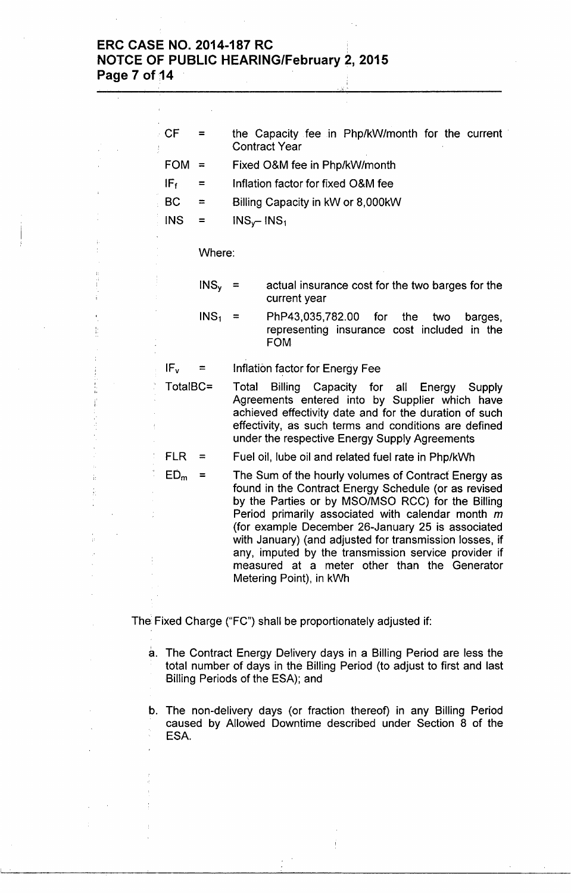# **ERC CASE NO. 2014-187RC ,** , **NorCE OF PUBLIC HEARING/February 2, 2015 Page 7 of 14**

| CF              | $=$              |                                                                                                                                                                                                                                                                                                                                                                                                                                                                          | the Capacity fee in Php/kW/month for the current<br><b>Contract Year</b>                                                                                                             |  |  |
|-----------------|------------------|--------------------------------------------------------------------------------------------------------------------------------------------------------------------------------------------------------------------------------------------------------------------------------------------------------------------------------------------------------------------------------------------------------------------------------------------------------------------------|--------------------------------------------------------------------------------------------------------------------------------------------------------------------------------------|--|--|
| <b>FOM</b>      | $\equiv$         |                                                                                                                                                                                                                                                                                                                                                                                                                                                                          | Fixed O&M fee in Php/kW/month                                                                                                                                                        |  |  |
| IF <sub>f</sub> | =                |                                                                                                                                                                                                                                                                                                                                                                                                                                                                          | Inflation factor for fixed O&M fee                                                                                                                                                   |  |  |
| <b>BC</b>       | ≈                |                                                                                                                                                                                                                                                                                                                                                                                                                                                                          | Billing Capacity in kW or 8,000kW                                                                                                                                                    |  |  |
| <b>INS</b>      | $=$              | $INS_{\gamma}$ - INS <sub>1</sub>                                                                                                                                                                                                                                                                                                                                                                                                                                        |                                                                                                                                                                                      |  |  |
|                 | Where:           |                                                                                                                                                                                                                                                                                                                                                                                                                                                                          |                                                                                                                                                                                      |  |  |
|                 | INS <sub>y</sub> | $\equiv$                                                                                                                                                                                                                                                                                                                                                                                                                                                                 | actual insurance cost for the two barges for the<br>current year                                                                                                                     |  |  |
|                 | INS <sub>1</sub> | ≕                                                                                                                                                                                                                                                                                                                                                                                                                                                                        | PhP43,035,782.00<br>for<br>the<br>two<br>barges,<br>representing insurance cost included<br>in the<br><b>FOM</b>                                                                     |  |  |
| IF <sub>v</sub> | ≕                |                                                                                                                                                                                                                                                                                                                                                                                                                                                                          | Inflation factor for Energy Fee                                                                                                                                                      |  |  |
| TotalBC=        |                  | Total<br>Billing Capacity for all Energy Supply<br>Agreements entered into by Supplier which have<br>achieved effectivity date and for the duration of such<br>effectivity, as such terms and conditions are defined<br>under the respective Energy Supply Agreements                                                                                                                                                                                                    |                                                                                                                                                                                      |  |  |
| <b>FLR</b>      | $=$              |                                                                                                                                                                                                                                                                                                                                                                                                                                                                          | Fuel oil, lube oil and related fuel rate in Php/kWh                                                                                                                                  |  |  |
| ED <sub>m</sub> | $\equiv$         | The Sum of the hourly volumes of Contract Energy as<br>found in the Contract Energy Schedule (or as revised<br>by the Parties or by MSO/MSO RCC) for the Billing<br>Period primarily associated with calendar month m<br>(for example December 26-January 25 is associated<br>with January) (and adjusted for transmission losses, if<br>any, imputed by the transmission service provider if<br>measured at a meter other than the Generator<br>Metering Point), in kWh |                                                                                                                                                                                      |  |  |
|                 |                  |                                                                                                                                                                                                                                                                                                                                                                                                                                                                          | The Fixed Charge ("FC") shall be proportionately adjusted if:                                                                                                                        |  |  |
|                 |                  |                                                                                                                                                                                                                                                                                                                                                                                                                                                                          |                                                                                                                                                                                      |  |  |
|                 |                  |                                                                                                                                                                                                                                                                                                                                                                                                                                                                          | a. The Contract Energy Delivery days in a Billing Period are less the<br>total number of days in the Billing Period (to adjust to first and last<br>Billing Periods of the ESA); and |  |  |
|                 |                  |                                                                                                                                                                                                                                                                                                                                                                                                                                                                          | b. The non-delivery days (or fraction thereof) in any Billing Period                                                                                                                 |  |  |

caused by Allowed Downtime described under Section 8 of the ESA.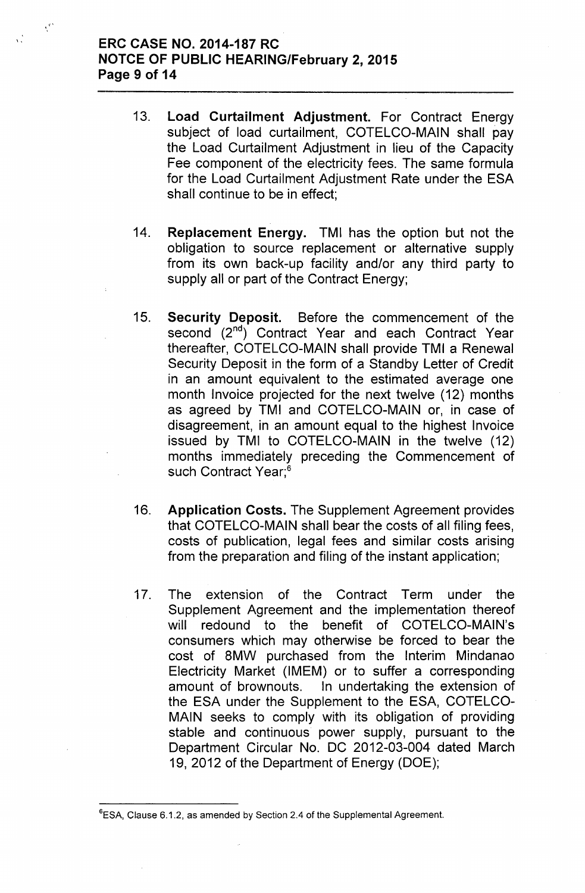# ERC CASE NO. 2014-187 RC NOTCE OF PUBLIC HEARING/February 2, 2015 Page 9 of 14

 $\sqrt{2}$ 

- 13. Load Curtailment Adjustment. For Contract Energy subject of load curtailment, COTELCO-MAIN shall pay the Load Curtailment Adjustment in lieu of the Capacity Fee component of the electricity fees. The same formula for the Load Curtailment Adjustment Rate under the ESA shall continue to be in effect;
- 14. Replacement Energy. TMI has the option but not the obligation to source replacement or alternative supply from its own back-up facility and/or any third party to supply all or part of the Contract Energy;
- 15. Security Deposit. Before the commencement of the second (2<sup>nd</sup>) Contract Year and each Contract Year thereafter, COTELCO-MAIN shall provide TMI a Renewal Security Deposit in the form of a Standby Letter of Credit in an amount equivalent to the estimated average one month Invoice projected for the next twelve (12) months as agreed by TMI and COTELCO-MAIN or, in case of disagreement, in an amount equal to the highest Invoice issued by TMI to COTELCO-MAIN in the twelve (12) months immediately preceding the Commencement of such Contract Year;<sup>6</sup>
- 16. Application Costs. The Supplement Agreement provides that COTELCO-MAIN shall bear the costs of all filing fees, costs of publication, legal fees and similar costs arising from the preparation and filing of the instant application;
- 17. The extension of the Contract Term under the Supplement Agreement and the implementation thereof will redound to the benefit of COTELCO-MAIN's consumers which may otherwise be forced to bear the cost of 8MW purchased from the Interim Mindanao Electricity Market (IMEM) or to suffer a corresponding amount of brownouts. In undertaking the extension of the ESA under the Supplement to the ESA, COTELCO-MAIN seeks to comply with its obligation of providing stable and continuous power supply, pursuant to the Department Circular No. DC 2012-03-004 dated March 19,2012 of the Department of Energy (DOE);

<sup>&</sup>lt;sup>6</sup>ESA, Clause 6.1.2, as amended by Section 2.4 of the Supplemental Agreement.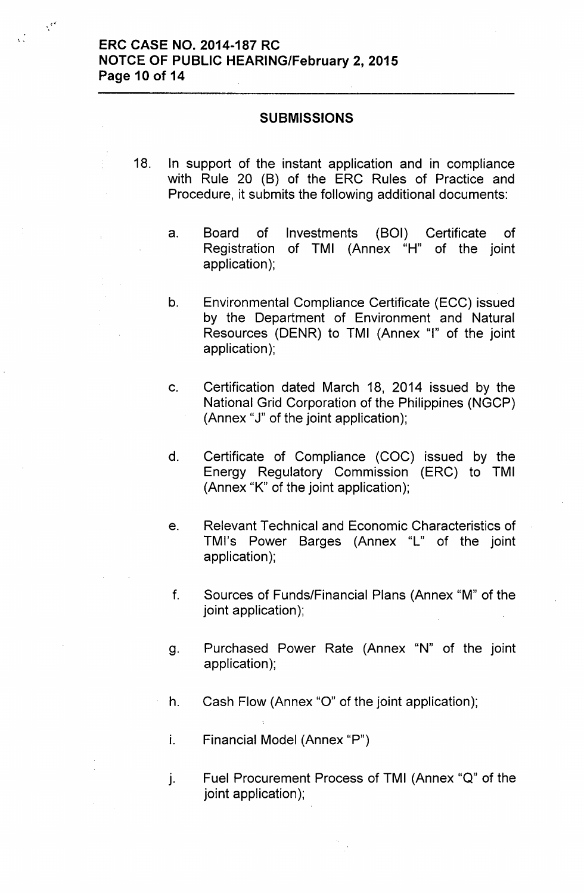,,

 $\chi^{\rm eff}$ 

#### **SUBMISSIONS**

- 18. In support of the instant application and in compliance with Rule 20 (B) of the ERC Rules of Practice and Procedure, it submits the following additional documents:
	- a. Board of Investments (BOI) Certificate of Registration of TMI (Annex "H" of the joint application);
	- b. Environmental Compliance Certificate (ECC) issued by the Department of Environment and Natural Resources (DENR) to TMI (Annex "I" of the joint application);
	- c. Certification dated March 18, 2014 issued by the National Grid Corporation of the Philippines (NGCP) (Annex "J" of the joint application);
	- d. Certificate of Compliance (COC) issued by the Energy Regulatory Commission (ERC) to TMI (Annex "K" of the joint application);
	- e. Relevant Technical and Economic Characteristics of TMl's Power Barges (Annex "l" of the joint application);
	- f. Sources of Funds/Financial Plans (Annex "M" of the joint application);
	- g. Purchased Power Rate (Annex "N" of the joint application);
	- h. Cash Flow (Annex "0" of the joint application);
	- i. Financial Model (Annex "P")
	- j. Fuel Procurement Process of TMI (Annex "Q" of the joint application);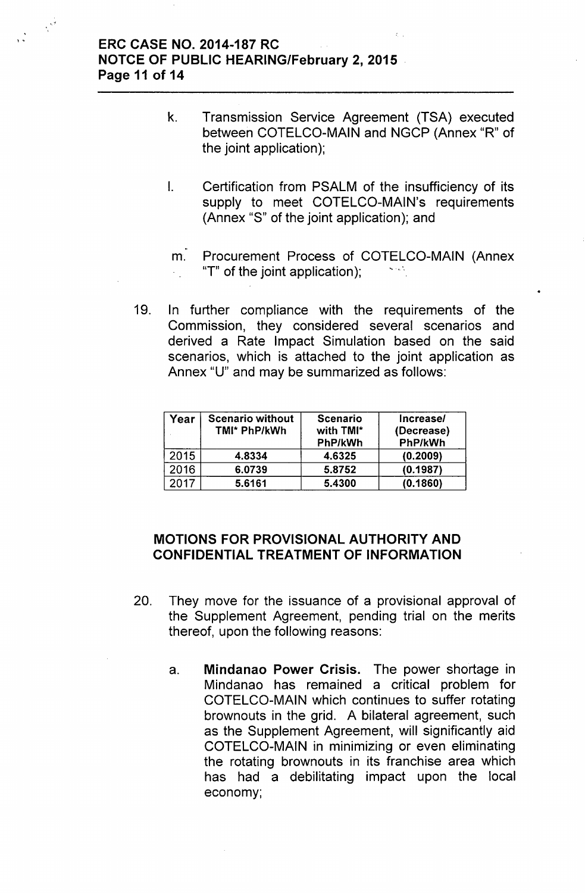# ERC CASE NO. 2014-187 RC NOTCE OF PUBLIC HEARING/February 2, 2015 . Page 11 of 14

, .

 $\hat{\mathcal{L}}_{\text{eff}}^{(2)}$ 

- k. Transmission Service Agreement (TSA) executed between COTELCO-MAIN and NGCP (Annex "R" of the joint application);
- I. Certification from PSALM of the insufficiency of its supply to meet COTELCO-MAIN's requirements (Annex "S" of the joint application); and

m. Procurement Process of COTELCO-MAIN (Annex "T" of the joint application);

19. In further compliance with the requirements of the Commission, they considered several scenarios and derived a Rate Impact Simulation based on the said scenarios, which is attached to the joint application as Annex "U" and may be summarized as follows:

| Year | <b>Scenario without</b><br>TMI* PhP/kWh | <b>Scenario</b><br>with TMI*<br>PhP/kWh | Increase/<br>(Decrease)<br>PhP/kWh |
|------|-----------------------------------------|-----------------------------------------|------------------------------------|
| 2015 | 4.8334                                  | 4.6325                                  | (0.2009)                           |
| 2016 | 6.0739                                  | 5.8752                                  | (0.1987)                           |
| 2017 | 5.6161                                  | 5.4300                                  | (0.1860)                           |

# MOTIONS FOR PROVISIONAL AUTHORITY AND CONFIDENTIAL TREATMENT OF INFORMATION

- 20. They move for the issuance of a provisional approval of the Supplement Agreement, pending trial on the merits thereof, upon the following reasons:
	- a. Mindanao Power Crisis. The power shortage in Mindanao has remained a critical problem for COTELCO-MAIN which continues to suffer rotating brownouts in the grid. A bilateral agreement, such as the Supplement Agreement, will significantly aid COTELCO-MAIN in minimizing or even eliminating the rotating brownouts in its franchise area which has had a debilitating impact upon the local economy;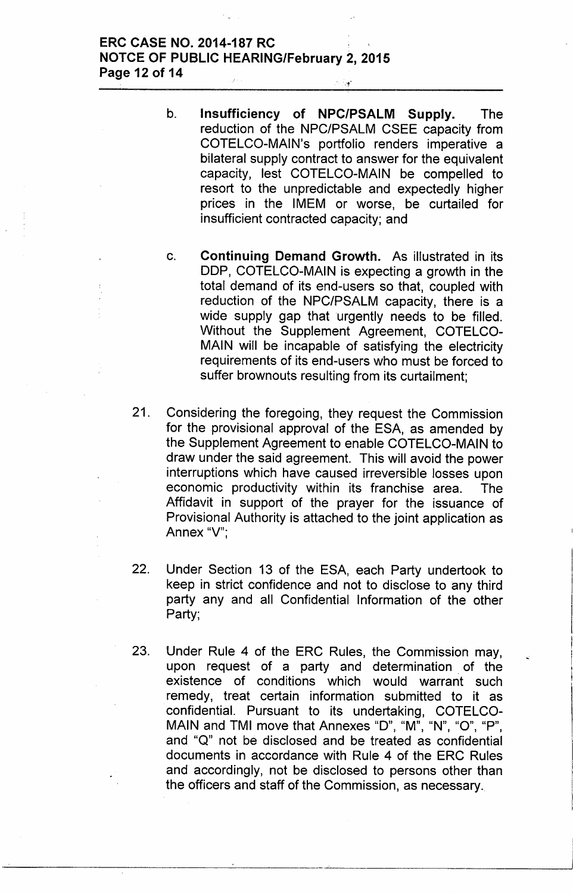#### **ERC CASE NO. 2014-187 RC** NOTCE OF PUBLIC HEARING/February 2, 2015 Page 12 of 14  $\tilde{\chi}$

- b. Insufficiency of NPC/PSALM Supply. The reduction of the NPC/PSALM CSEE capacity from COTELCO-MAIN's portfolio renders imperative a bilateral supply contract to answer for the equivalent capacity, lest COTELCO-MAIN be compelled to resort to the unpredictable and expectedly higher prices in the IMEM or worse, be curtailed for insufficient contracted capacity; and
- c. Continuing Demand Growth. As illustrated in its DDP, COTELCO-MAIN is expecting a growth in the total demand of its end-users so that, coupled with reduction of the NPC/PSALM capacity, there is a wide supply gap that urgently needs to be filled. Without the Supplement Agreement, COTELCO-MAIN will be incapable of satisfying the electricity requirements of its end-users who must be forced to suffer brownouts resulting from its curtailment;
- 21. Considering the foregoing, they request the Commission for the provisional approval of the ESA, as amended by the Supplement Agreement to enable COTELCO-MAIN to draw under the said agreement. This will avoid the power interruptions which have caused irreversible losses upon economic productivity within its franchise area. The Affidavit in support of the prayer for the issuance of Provisional Authority is attached to the joint application as Annex "V":
- 22. Under Section 13 of the ESA, each Party undertook to keep in strict confidence and not to disclose to any third party any and all Confidential Information of the other Party;
- 23. Under Rule 4 of the ERC Rules, the Commission may, upon request of a party and determination. of the existence of conditions which would warrant such remedy, treat certain information submitted to it as confidential. Pursuant to its undertaking, COTELCO-MAIN and TMI move that Annexes "D", "M", "N", "O", "P", and "Q" not be disclosed and be treated as confidential documents in accordance with Rule 4 of the ERC Rules and accordingly, not be disclosed to persons other than the officers and staff of the Commission, as necessary.

--------------------\_.'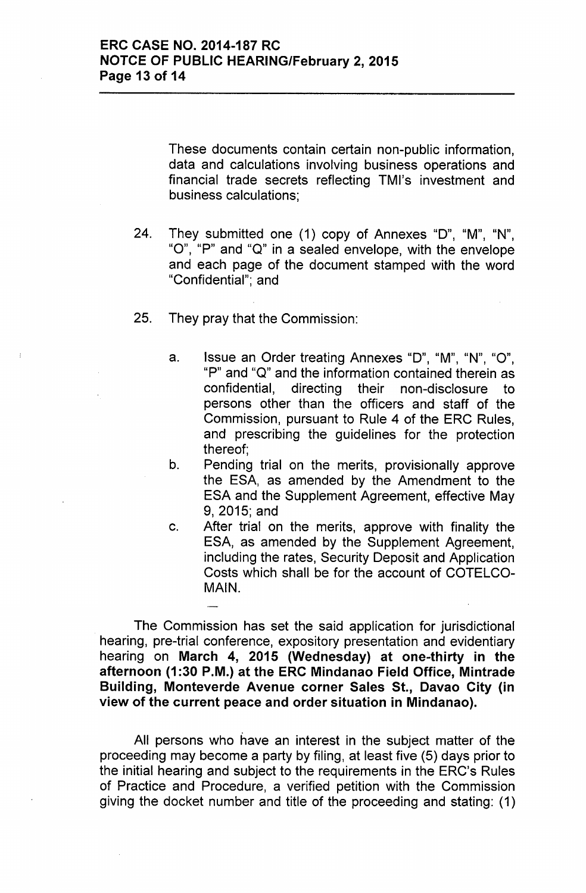These documents contain certain non-public information, data and calculations involving business operations and financial trade secrets reflecting TMl's investment and business calculations;

- 24. They submitted one (1) copy of Annexes "0", "M", "N", "0", "P" and "Q" in a sealed envelope, with the envelope and each page of the document stamped with the word "Confidential"; and
- 25. They pray that the Commission:
	- a. Issue an Order treating Annexes "D", "M", "N", "O", "P" and "Q" and the information contained therein as confidential, directing their non-disclosure to persons other than the officers and staff of the Commission, pursuant to Rule 4 of the ERC Rules, and prescribing the guidelines for the protection thereof;
	- b. Pending trial on the merits, provisionally approve the ESA, as amended by the Amendment to the ESA and the Supplement Agreement, effective May 9,2015; and
	- c. After trial on the merits, approve with finality the ESA, as amended by the Supplement Agreement, including the rates, Security Deposit and Application Costs which shall be for the account of COTELCO-MAIN.

The Commission has set the said application for jurisdictional hearing, pre-trial conference, expository presentation and evidentiary hearing on March 4, 2015 (Wednesday) at one-thirty in the afternoon (1:30 P.M.) at the ERC Mindanao Field Office, Mintrade Building, Monteverde Avenue corner Sales St., Davao City (in view of the current peace and order situation in Mindanao).

All persons who have an interest in the subject matter of the proceeding may become a party by filing, at least five (5) days prior to the initial hearing and subject to the requirements in the ERC's Rules of Practice and Procedure, a verified petition with the Commission giving the docket number and title of the proceeding and stating: (1)